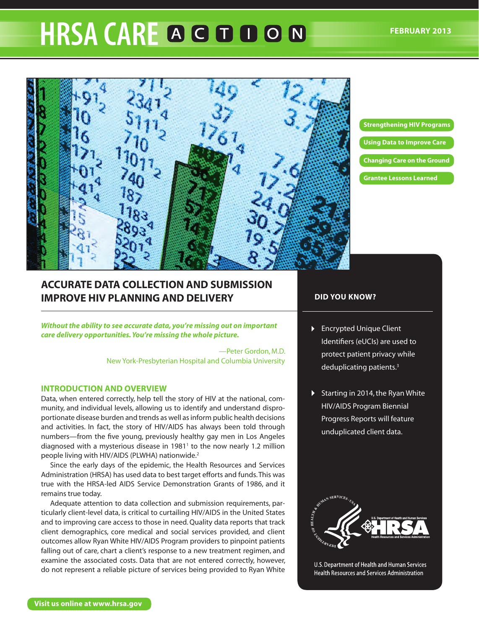# **HRSA CARE A G D D O N**



**Strengthening HIV Programs Using Data to Improve Care Changing Care on the Ground Grantee Lessons Learned**

## **ACCURATE DATA COLLECTION AND SUBMISSION IMPROVE HIV PLANNING AND DELIVERY**

*Without the ability to see accurate data, you're missing out on important care delivery opportunities. You're missing the whole picture.*

> —Peter Gordon, M.D. New York-Presbyterian Hospital and Columbia University

### **INTRODUCTION AND OVERVIEW**

Data, when entered correctly, help tell the story of HIV at the national, community, and individual levels, allowing us to identify and understand disproportionate disease burden and trends as well as inform public health decisions and activities. In fact, the story of HIV/AIDS has always been told through numbers—from the five young, previously healthy gay men in Los Angeles diagnosed with a mysterious disease in 1981<sup>1</sup> to the now nearly 1.2 million people living with HIV/AIDS (PLWHA) nationwide.2

Since the early days of the epidemic, the Health Resources and Services Administration (HRSA) has used data to best target efforts and funds. This was true with the HRSA-led AIDS Service Demonstration Grants of 1986, and it remains true today.

Adequate attention to data collection and submission requirements, particularly client-level data, is critical to curtailing HIV/AIDS in the United States and to improving care access to those in need. Quality data reports that track client demographics, core medical and social services provided, and client outcomes allow Ryan White HIV/AIDS Program providers to pinpoint patients falling out of care, chart a client's response to a new treatment regimen, and examine the associated costs. Data that are not entered correctly, however, do not represent a reliable picture of services being provided to Ryan White

## **DID YOU KNOW?**

- **Encrypted Unique Client** Identifiers (eUCIs) are used to protect patient privacy while deduplicating patients.3
- Starting in 2014, the Ryan White HIV/AIDS Program Biennial Progress Reports will feature unduplicated client data.



U.S. Department of Health and Human Services Health Resources and Services Administration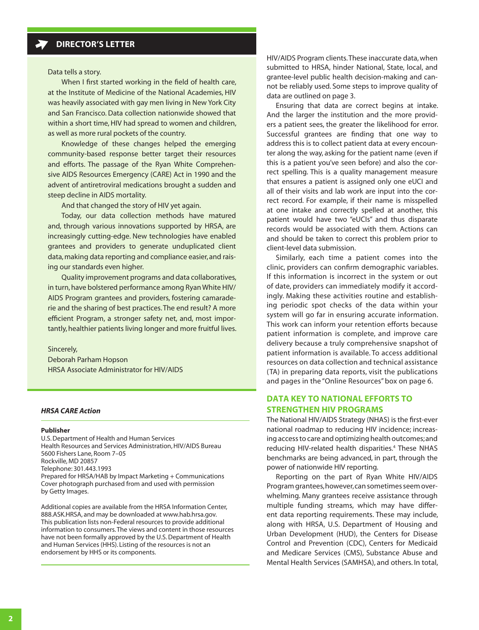Data tells a story.

When I first started working in the field of health care, at the Institute of Medicine of the National Academies, HIV was heavily associated with gay men living in New York City and San Francisco. Data collection nationwide showed that within a short time, HIV had spread to women and children, as well as more rural pockets of the country.

Knowledge of these changes helped the emerging community-based response better target their resources and efforts. The passage of the Ryan White Comprehensive AIDS Resources Emergency (CARE) Act in 1990 and the advent of antiretroviral medications brought a sudden and steep decline in AIDS mortality.

And that changed the story of HIV yet again.

Today, our data collection methods have matured and, through various innovations supported by HRSA, are increasingly cutting-edge. New technologies have enabled grantees and providers to generate unduplicated client data, making data reporting and compliance easier, and raising our standards even higher.

Quality improvement programs and data collaboratives, in turn, have bolstered performance among Ryan White HIV/ AIDS Program grantees and providers, fostering camaraderie and the sharing of best practices. The end result? A more efficient Program, a stronger safety net, and, most importantly, healthier patients living longer and more fruitful lives.

Sincerely, Deborah Parham Hopson HRSA Associate Administrator for HIV/AIDS

#### *HRSA CARE Action*

#### **Publisher**

U.S. Department of Health and Human Services Health Resources and Services Administration, HIV/AIDS Bureau 5600 Fishers Lane, Room 7–05 Rockville, MD 20857 Telephone: 301.443.1993 Prepared for HRSA/HAB by Impact Marketing + Communications Cover photograph purchased from and used with permission by Getty Images.

Additional copies are available from the HRSA Information Center, 888.ASK.HRSA, and may be downloaded at [www.hab.hrsa.gov.](http://www.hab.hrsa.gov/) This publication lists non-Federal resources to provide additional information to consumers. The views and content in those resources have not been formally approved by the U.S. Department of Health and Human Services (HHS). Listing of the resources is not an endorsement by HHS or its components.

HIV/AIDS Program clients. These inaccurate data, when submitted to HRSA, hinder National, State, local, and grantee-level public health decision-making and cannot be reliably used. [Some steps to improve quality of](#page-2-0) [data are outlined on page 3.](#page-2-0)

Ensuring that data are correct begins at intake. And the larger the institution and the more providers a patient sees, the greater the likelihood for error. Successful grantees are finding that one way to address this is to collect patient data at every encounter along the way, asking for the patient name (even if this is a patient you've seen before) and also the correct spelling. This is a quality management measure that ensures a patient is assigned only one eUCI and all of their visits and lab work are input into the correct record. For example, if their name is misspelled at one intake and correctly spelled at another, this patient would have two "eUCIs" and thus disparate records would be associated with them. Actions can and should be taken to correct this problem prior to client-level data submission.

Similarly, each time a patient comes into the clinic, providers can confirm demographic variables. If this information is incorrect in the system or out of date, providers can immediately modify it accordingly. Making these activities routine and establishing periodic spot checks of the data within your system will go far in ensuring accurate information. This work can inform your retention efforts because patient information is complete, and improve care delivery because a truly comprehensive snapshot of patient information is available. [To access additional](#page-5-0)  [resources on data collection and technical assistance](#page-5-0)  [\(TA\) in preparing data reports, visit the publications](#page-5-0) [and pages in the "Online Resources" box on page 6.](#page-5-0)

## **DATA KEY TO NATIONAL EFFORTS TO STRENGTHEN HIV PROGRAMS**

The National HIV/AIDS Strategy (NHAS) is the first-ever national roadmap to reducing HIV incidence; increasing access to care and optimizing health outcomes; and reducing HIV-related health disparities.<sup>4</sup> These NHAS benchmarks are being advanced, in part, through the power of nationwide HIV reporting.

Reporting on the part of Ryan White HIV/AIDS Program grantees, however, can sometimes seem overwhelming. Many grantees receive assistance through multiple funding streams, which may have different data reporting requirements. These may include, along with HRSA, U.S. Department of Housing and Urban Development (HUD), the Centers for Disease Control and Prevention (CDC), Centers for Medicaid and Medicare Services (CMS), Substance Abuse and Mental Health Services (SAMHSA), and others. In total,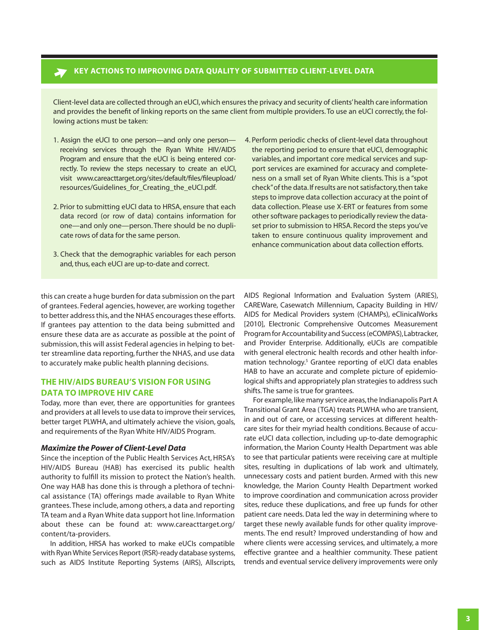## <span id="page-2-0"></span>**KEY ACTIONS TO IMPROVING DATA QUALITY OF SUBMITTED CLIENT-LEVEL DATA**

Client-level data are collected through an eUCI, which ensures the privacy and security of clients' health care information and provides the benefit of linking reports on the same client from multiple providers. To use an eUCI correctly, the following actions must be taken:

- 1. Assign the eUCI to one person—and only one person receiving services through the Ryan White HIV/AIDS Program and ensure that the eUCI is being entered correctly. To review the steps necessary to create an eUCI, visit [www.careacttarget.org/sites/default/files/fileupload/](https://careacttarget.org/content/ta-providers) [resources/Guidelines\\_for\\_Creating\\_the\\_eUCI.pdf.](https://careacttarget.org/content/ta-providers)
- 2. Prior to submitting eUCI data to HRSA, ensure that each data record (or row of data) contains information for one—and only one—person. There should be no duplicate rows of data for the same person.
- 3. Check that the demographic variables for each person and, thus, each eUCI are up-to-date and correct.
- 4. Perform periodic checks of client-level data throughout the reporting period to ensure that eUCI, demographic variables, and important core medical services and support services are examined for accuracy and completeness on a small set of Ryan White clients. This is a "spot check" of the data.If results are not satisfactory, then take steps to improve data collection accuracy at the point of data collection. Please use X-ERT or features from some other software packages to periodically review the dataset prior to submission to HRSA. Record the steps you've taken to ensure continuous quality improvement and enhance communication about data collection efforts.

this can create a huge burden for data submission on the part of grantees. Federal agencies, however, are working together to better address this, and the NHAS encourages these efforts. If grantees pay attention to the data being submitted and ensure these data are as accurate as possible at the point of submission, this will assist Federal agencies in helping to better streamline data reporting, further the NHAS, and use data to accurately make public health planning decisions.

## **THE HIV/AIDS BUREAU'S VISION FOR USING DATA TO IMPROVE HIV CARE**

Today, more than ever, there are opportunities for grantees and providers at all levels to use data to improve their services, better target PLWHA, and ultimately achieve the vision, goals, and requirements of the Ryan White HIV/AIDS Program.

#### *Maximize the Power of Client-Level Data*

Since the inception of the Public Health Services Act, HRSA's HIV/AIDS Bureau (HAB) has exercised its public health authority to fulfill its mission to protect the Nation's health. One way HAB has done this is through a plethora of technical assistance (TA) offerings made available to Ryan White grantees. These include, among others, a data and reporting TA team and a Ryan White data support hot line. Information about these can be found at: [www.careacttarget.org/](https://careacttarget.org/content/ta-providers) [content/ta-providers](https://careacttarget.org/content/ta-providers).

In addition, HRSA has worked to make eUCIs compatible with Ryan White Services Report (RSR)-ready database systems, such as AIDS Institute Reporting Systems (AIRS), Allscripts,

AIDS Regional Information and Evaluation System (ARIES), CAREWare, Casewatch Millennium, Capacity Building in HIV/ AIDS for Medical Providers system (CHAMPs), eClinicalWorks [2010], Electronic Comprehensive Outcomes Measurement Program for Accountability and Success (eCOMPAS), Labtracker, and Provider Enterprise. Additionally, eUCIs are compatible with general electronic health records and other health information technology.5 Grantee reporting of eUCI data enables HAB to have an accurate and complete picture of epidemiological shifts and appropriately plan strategies to address such shifts. The same is true for grantees.

For example, like many service areas, the Indianapolis Part A Transitional Grant Area (TGA) treats PLWHA who are transient, in and out of care, or accessing services at different healthcare sites for their myriad health conditions. Because of accurate eUCI data collection, including up-to-date demographic information, the Marion County Health Department was able to see that particular patients were receiving care at multiple sites, resulting in duplications of lab work and ultimately, unnecessary costs and patient burden. Armed with this new knowledge, the Marion County Health Department worked to improve coordination and communication across provider sites, reduce these duplications, and free up funds for other patient care needs. Data led the way in determining where to target these newly available funds for other quality improvements. The end result? Improved understanding of how and where clients were accessing services, and ultimately, a more effective grantee and a healthier community. These patient trends and eventual service delivery improvements were only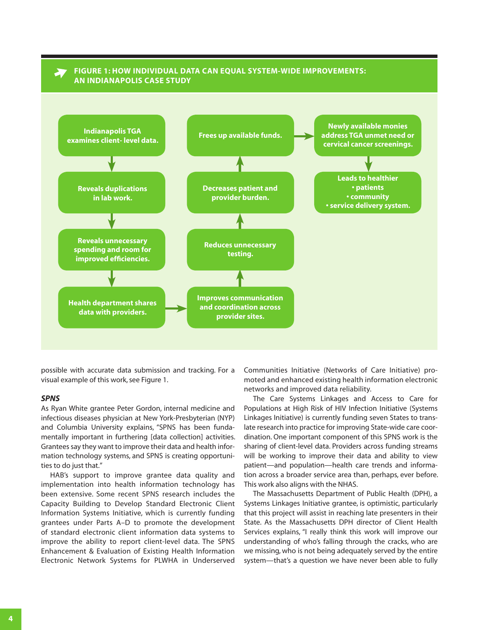## **FIGURE 1: HOW INDIVIDUAL DATA CAN EQUAL SYSTEM-WIDE IMPROVEMENTS: AN INDIANAPOLIS CASE STUDY**



possible with accurate data submission and tracking. For a visual example of this work, see Figure 1.

#### *SPNS*

As Ryan White grantee Peter Gordon, internal medicine and infectious diseases physician at New York-Presbyterian (NYP) and Columbia University explains, "SPNS has been fundamentally important in furthering [data collection] activities. Grantees say they want to improve their data and health information technology systems, and SPNS is creating opportunities to do just that."

HAB's support to improve grantee data quality and implementation into health information technology has been extensive. Some recent SPNS research includes the Capacity Building to Develop Standard Electronic Client Information Systems Initiative, which is currently funding grantees under Parts A–D to promote the development of standard electronic client information data systems to improve the ability to report client-level data. The SPNS Enhancement & Evaluation of Existing Health Information Electronic Network Systems for PLWHA in Underserved

Communities Initiative (Networks of Care Initiative) promoted and enhanced existing health information electronic networks and improved data reliability.

The Care Systems Linkages and Access to Care for Populations at High Risk of HIV Infection Initiative (Systems Linkages Initiative) is currently funding seven States to translate research into practice for improving State-wide care coordination. One important component of this SPNS work is the sharing of client-level data. Providers across funding streams will be working to improve their data and ability to view patient—and population—health care trends and information across a broader service area than, perhaps, ever before. This work also aligns with the NHAS.

The Massachusetts Department of Public Health (DPH), a Systems Linkages Initiative grantee, is optimistic, particularly that this project will assist in reaching late presenters in their State. As the Massachusetts DPH director of Client Health Services explains, "I really think this work will improve our understanding of who's falling through the cracks, who are we missing, who is not being adequately served by the entire system—that's a question we have never been able to fully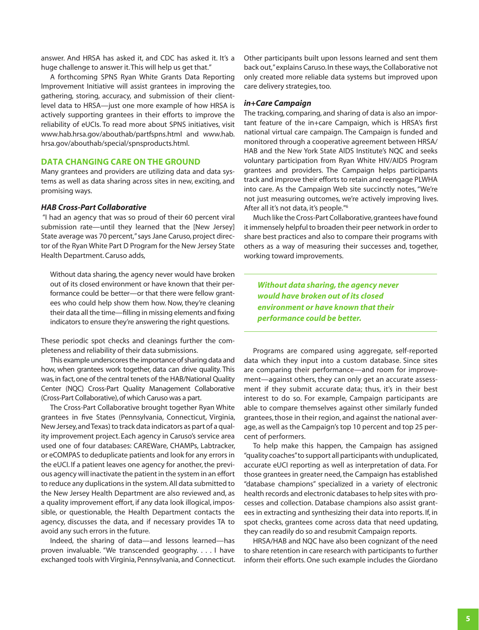answer. And HRSA has asked it, and CDC has asked it. It's a huge challenge to answer it. This will help us get that."

A forthcoming SPNS Ryan White Grants Data Reporting Improvement Initiative will assist grantees in improving the gathering, storing, accuracy, and submission of their clientlevel data to HRSA—just one more example of how HRSA is actively supporting grantees in their efforts to improve the reliability of eUCIs. To read more about SPNS initiatives, visit [www.hab.hrsa.gov/abouthab/partfspns.html](http://www.hab.hrsa.gov/abouthab/partfspns.html) and [www.hab.](http://www.hab.hrsa.gov/abouthab/special/spnsproducts.html) [hrsa.gov/abouthab/special/spnsproducts.html](http://www.hab.hrsa.gov/abouthab/special/spnsproducts.html).

#### **DATA CHANGING CARE ON THE GROUND**

Many grantees and providers are utilizing data and data systems as well as data sharing across sites in new, exciting, and promising ways.

#### *HAB Cross-Part Collaborative*

 "I had an agency that was so proud of their 60 percent viral submission rate—until they learned that the [New Jersey] State average was 70 percent," says Jane Caruso, project director of the Ryan White Part D Program for the New Jersey State Health Department. Caruso adds,

Without data sharing, the agency never would have broken out of its closed environment or have known that their performance could be better—or that there were fellow grantees who could help show them how. Now, they're cleaning their data all the time—filling in missing elements and fixing indicators to ensure they're answering the right questions.

These periodic spot checks and cleanings further the completeness and reliability of their data submissions.

This example underscores the importance of sharing data and how, when grantees work together, data can drive quality. This was, in fact, one of the central tenets of the HAB/National Quality Center (NQC) Cross-Part Quality Management Collaborative (Cross-Part Collaborative), of which Caruso was a part.

The Cross-Part Collaborative brought together Ryan White grantees in five States (Pennsylvania, Connecticut, Virginia, New Jersey, and Texas) to track data indicators as part of a quality improvement project. Each agency in Caruso's service area used one of four databases: CAREWare, CHAMPs, Labtracker, or eCOMPAS to deduplicate patients and look for any errors in the eUCI. If a patient leaves one agency for another, the previous agency will inactivate the patient in the system in an effort to reduce any duplications in the system. All data submitted to the New Jersey Health Department are also reviewed and, as a quality improvement effort, if any data look illogical, impossible, or questionable, the Health Department contacts the agency, discusses the data, and if necessary provides TA to avoid any such errors in the future.

Indeed, the sharing of data—and lessons learned—has proven invaluable. "We transcended geography. . . . I have exchanged tools with Virginia, Pennsylvania, and Connecticut. Other participants built upon lessons learned and sent them back out," explains Caruso. In these ways, the Collaborative not only created more reliable data systems but improved upon care delivery strategies, too.

#### *in+Care Campaign*

The tracking, comparing, and sharing of data is also an important feature of the in+care Campaign, which is HRSA's first national virtual care campaign. The Campaign is funded and monitored through a cooperative agreement between HRSA/ HAB and the New York State AIDS Institute's NQC and seeks voluntary participation from Ryan White HIV/AIDS Program grantees and providers. The Campaign helps participants track and improve their efforts to retain and reengage PLWHA into care. As the Campaign Web site succinctly notes, "We're not just measuring outcomes, we're actively improving lives. After all it's not data, it's people."6

Much like the Cross-Part Collaborative, grantees have found it immensely helpful to broaden their peer network in order to share best practices and also to compare their programs with others as a way of measuring their successes and, together, working toward improvements.

*Without data sharing, the agency never would have broken out of its closed environment or have known that their performance could be better.*

Programs are compared using aggregate, self-reported data which they input into a custom database. Since sites are comparing their performance—and room for improvement—against others, they can only get an accurate assessment if they submit accurate data; thus, it's in their best interest to do so. For example, Campaign participants are able to compare themselves against other similarly funded grantees, those in their region, and against the national average, as well as the Campaign's top 10 percent and top 25 percent of performers.

To help make this happen, the Campaign has assigned "quality coaches" to support all participants with unduplicated, accurate eUCI reporting as well as interpretation of data. For those grantees in greater need, the Campaign has established "database champions" specialized in a variety of electronic health records and electronic databases to help sites with processes and collection. Database champions also assist grantees in extracting and synthesizing their data into reports. If, in spot checks, grantees come across data that need updating, they can readily do so and resubmit Campaign reports.

HRSA/HAB and NQC have also been cognizant of the need to share retention in care research with participants to further inform their efforts. One such example includes the Giordano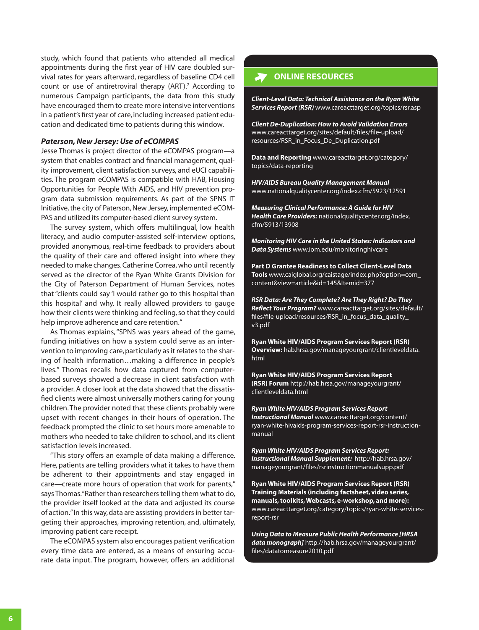<span id="page-5-0"></span>study, which found that patients who attended all medical appointments during the first year of HIV care doubled survival rates for years afterward, regardless of baseline CD4 cell count or use of antiretroviral therapy (ART).<sup>7</sup> According to numerous Campaign participants, the data from this study have encouraged them to create more intensive interventions in a patient's first year of care, including increased patient education and dedicated time to patients during this window.

#### *Paterson, New Jersey: Use of eCOMPAS*

Jesse Thomas is project director of the eCOMPAS program—a system that enables contract and financial management, quality improvement, client satisfaction surveys, and eUCI capabilities. The program eCOMPAS is compatible with HAB, Housing Opportunities for People With AIDS, and HIV prevention program data submission requirements. As part of the SPNS IT Initiative, the city of Paterson, New Jersey, implemented eCOM-PAS and utilized its computer-based client survey system.

The survey system, which offers multilingual, low health literacy, and audio computer-assisted self-interview options, provided anonymous, real-time feedback to providers about the quality of their care and offered insight into where they needed to make changes. Catherine Correa, who until recently served as the director of the Ryan White Grants Division for the City of Paterson Department of Human Services, notes that "clients could say 'I would rather go to this hospital than this hospital' and why. It really allowed providers to gauge how their clients were thinking and feeling, so that they could help improve adherence and care retention."

As Thomas explains, "SPNS was years ahead of the game, funding initiatives on how a system could serve as an intervention to improving care, particularly as it relates to the sharing of health information…making a difference in people's lives." Thomas recalls how data captured from computerbased surveys showed a decrease in client satisfaction with a provider. A closer look at the data showed that the dissatisfied clients were almost universally mothers caring for young children. The provider noted that these clients probably were upset with recent changes in their hours of operation. The feedback prompted the clinic to set hours more amenable to mothers who needed to take children to school, and its client satisfaction levels increased.

"This story offers an example of data making a difference. Here, patients are telling providers what it takes to have them be adherent to their appointments and stay engaged in care—create more hours of operation that work for parents," says Thomas. "Rather than researchers telling them what to do, the provider itself looked at the data and adjusted its course of action." In this way, data are assisting providers in better targeting their approaches, improving retention, and, ultimately, improving patient care receipt.

The eCOMPAS system also encourages patient verification every time data are entered, as a means of ensuring accurate data input. The program, however, offers an additional

## **ONLINE RESOURCES**

*Client-Level Data: Technical Assistance on the Ryan White Services Report (RSR)* [www.careacttarget.org/topics/rsr.asp](https://careacttarget.org/category/topics/ryan-white-services-report-rsr) 

*Client De-Duplication: How to Avoid Validation Errors* [www.careacttarget.org/sites/default/files/file-upload/](http://www.careacttarget.org/sites/default/files/file-upload/resources/RSR_in_Focus_De_Duplication.pdf) [resources/RSR\\_in\\_Focus\\_De\\_Duplication.pdf](http://www.careacttarget.org/sites/default/files/file-upload/resources/RSR_in_Focus_De_Duplication.pdf)

**Data and Reporting** [www.careacttarget.org/category/](https://careacttarget.org/category/topics/data-reporting) [topics/data-reporting](https://careacttarget.org/category/topics/data-reporting) 

*HIV/AIDS Bureau Quality Management Manual* [www.nationalqualitycenter.org/index.cfm/5923/12591](http://www.nationalqualitycenter.org/index.cfm/5923/12591) 

*Measuring Clinical Performance: A Guide for HIV Health Care Providers:* [nationalqualitycenter.org/index.](http://nationalqualitycenter.org/index.cfm/5913/13908) [cfm/5913/13908](http://nationalqualitycenter.org/index.cfm/5913/13908) 

*Monitoring HIV Care in the United States: Indicators and Data Systems* [www.iom.edu/monitoringhivcare](http://www.iom.edu/Reports/2012/Monitoring-HIV-Care-in-the-United-States.aspx)

**Part D Grantee Readiness to Collect Client-Level Data Tools** [www.caiglobal.org/caistage/index.php?option=com\\_](http://www.caiglobal.org/caistage/index.php?option=com_content&view=article&id=145&Itemid=377) [content&view=article&id=145&Itemid=377](http://www.caiglobal.org/caistage/index.php?option=com_content&view=article&id=145&Itemid=377) 

*RSR Data: Are They Complete? Are They Right? Do They Reflect Your Program?* [www.careacttarget.org/sites/default/](http://www.careacttarget.org/sites/default/files/file-upload/resources/RSR_in_focus_data_quality_v3.pdf) [files/file-upload/resources/RSR\\_in\\_focus\\_data\\_quality\\_](http://www.careacttarget.org/sites/default/files/file-upload/resources/RSR_in_focus_data_quality_v3.pdf) [v3.pdf](http://www.careacttarget.org/sites/default/files/file-upload/resources/RSR_in_focus_data_quality_v3.pdf) 

**Ryan White HIV/AIDS Program Services Report (RSR) Overview:** [hab.hrsa.gov/manageyourgrant/clientleveldata.](http://hab.hrsa.gov/manageyourgrant/clientleveldata.html) [html](http://hab.hrsa.gov/manageyourgrant/clientleveldata.html) 

**Ryan White HIV/AIDS Program Services Report (RSR) Forum** [http://hab.hrsa.gov/manageyourgrant/](http://hab.hrsa.gov/manageyourgrant/clientleveldata.html) [clientleveldata.html](http://hab.hrsa.gov/manageyourgrant/clientleveldata.html)

*Ryan White HIV/AIDS Program Services Report Instructional Manual* [www.careacttarget.org/content/](https://careacttarget.org/content/ryan-white-hivaids-program-services-report-rsr-instruction-manual) [ryan-white-hivaids-program-services-report-rsr-instruction](https://careacttarget.org/content/ryan-white-hivaids-program-services-report-rsr-instruction-manual)[manual](https://careacttarget.org/content/ryan-white-hivaids-program-services-report-rsr-instruction-manual)

*Ryan White HIV/AIDS Program Services Report: Instructional Manual Supplement:* [http://hab.hrsa.gov/](http://hab.hrsa.gov/manageyourgrant/files/rsrinstructionmanualsupp.pdf) [manageyourgrant/files/rsrinstructionmanualsupp.pdf](http://hab.hrsa.gov/manageyourgrant/files/rsrinstructionmanualsupp.pdf)

**Ryan White HIV/AIDS Program Services Report (RSR) Training Materials (including factsheet, video series, manuals, toolkits, Webcasts, e-workshop, and more):**  [www.careacttarget.org/category/topics/ryan-white-services](https://careacttarget.org/category/topics/ryan-white-services-report-rsr)[report-rsr](https://careacttarget.org/category/topics/ryan-white-services-report-rsr) 

*Using Data to Measure Public Health Performance [HRSA data monograph]* [http://hab.hrsa.gov/manageyourgrant/](http://hab.hrsa.gov/manageyourgrant/files/datatomeasure2010.pdf) [files/datatomeasure2010.pdf](http://hab.hrsa.gov/manageyourgrant/files/datatomeasure2010.pdf)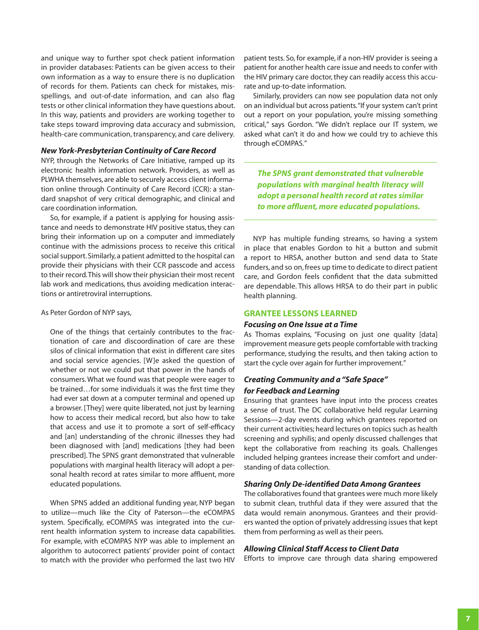and unique way to further spot check patient information in provider databases: Patients can be given access to their own information as a way to ensure there is no duplication of records for them. Patients can check for mistakes, misspellings, and out-of-date information, and can also flag tests or other clinical information they have questions about. In this way, patients and providers are working together to take steps toward improving data accuracy and submission, health-care communication, transparency, and care delivery.

#### *New York-Presbyterian Continuity of Care Record*

NYP, through the Networks of Care Initiative, ramped up its electronic health information network. Providers, as well as PLWHA themselves, are able to securely access client information online through Continuity of Care Record (CCR): a standard snapshot of very critical demographic, and clinical and care coordination information.

So, for example, if a patient is applying for housing assistance and needs to demonstrate HIV positive status, they can bring their information up on a computer and immediately continue with the admissions process to receive this critical social support. Similarly, a patient admitted to the hospital can provide their physicians with their CCR passcode and access to their record. This will show their physician their most recent lab work and medications, thus avoiding medication interactions or antiretroviral interruptions.

#### As Peter Gordon of NYP says,

One of the things that certainly contributes to the fractionation of care and discoordination of care are these silos of clinical information that exist in different care sites and social service agencies. [W]e asked the question of whether or not we could put that power in the hands of consumers. What we found was that people were eager to be trained…for some individuals it was the first time they had ever sat down at a computer terminal and opened up a browser. [They] were quite liberated, not just by learning how to access their medical record, but also how to take that access and use it to promote a sort of self-efficacy and [an] understanding of the chronic illnesses they had been diagnosed with [and] medications [they had been prescribed]. The SPNS grant demonstrated that vulnerable populations with marginal health literacy will adopt a personal health record at rates similar to more affluent, more educated populations.

When SPNS added an additional funding year, NYP began to utilize—much like the City of Paterson—the eCOMPAS system. Specifically, eCOMPAS was integrated into the current health information system to increase data capabilities. For example, with eCOMPAS NYP was able to implement an algorithm to autocorrect patients' provider point of contact to match with the provider who performed the last two HIV

patient tests. So, for example, if a non-HIV provider is seeing a patient for another health care issue and needs to confer with the HIV primary care doctor, they can readily access this accurate and up-to-date information.

Similarly, providers can now see population data not only on an individual but across patients. "If your system can't print out a report on your population, you're missing something critical," says Gordon. "We didn't replace our IT system, we asked what can't it do and how we could try to achieve this through eCOMPAS."

*The SPNS grant demonstrated that vulnerable populations with marginal health literacy will adopt a personal health record at rates similar to more affluent, more educated populations.* 

NYP has multiple funding streams, so having a system in place that enables Gordon to hit a button and submit a report to HRSA, another button and send data to State funders, and so on, frees up time to dedicate to direct patient care, and Gordon feels confident that the data submitted are dependable. This allows HRSA to do their part in public health planning.

#### **GRANTEE LESSONS LEARNED**

#### *Focusing on One Issue at a Time*

As Thomas explains, "Focusing on just one quality [data] improvement measure gets people comfortable with tracking performance, studying the results, and then taking action to start the cycle over again for further improvement."

## *Creating Community and a "Safe Space" for Feedback and Learning*

Ensuring that grantees have input into the process creates a sense of trust. The DC collaborative held regular Learning Sessions—2-day events during which grantees reported on their current activities; heard lectures on topics such as health screening and syphilis; and openly discussed challenges that kept the collaborative from reaching its goals. Challenges included helping grantees increase their comfort and understanding of data collection.

#### *Sharing Only De-identified Data Among Grantees*

The collaboratives found that grantees were much more likely to submit clean, truthful data if they were assured that the data would remain anonymous. Grantees and their providers wanted the option of privately addressing issues that kept them from performing as well as their peers.

#### *Allowing Clinical Staff Access to Client Data*

Efforts to improve care through data sharing empowered